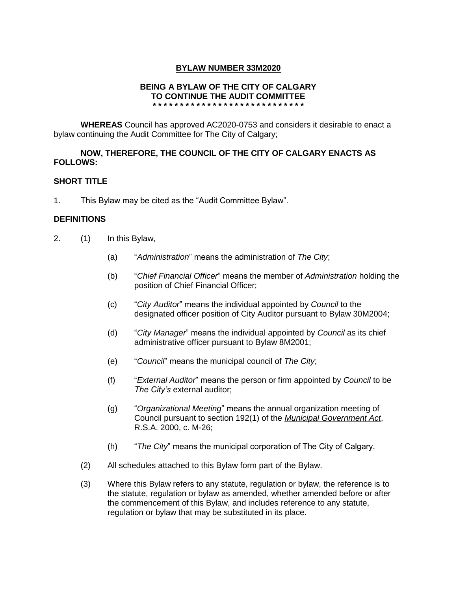# **BYLAW NUMBER 33M2020**

## **BEING A BYLAW OF THE CITY OF CALGARY TO CONTINUE THE AUDIT COMMITTEE \* \* \* \* \* \* \* \* \* \* \* \* \* \* \* \* \* \* \* \* \* \* \* \* \* \* \* \***

**WHEREAS** Council has approved AC2020-0753 and considers it desirable to enact a bylaw continuing the Audit Committee for The City of Calgary;

# **NOW, THEREFORE, THE COUNCIL OF THE CITY OF CALGARY ENACTS AS FOLLOWS:**

## **SHORT TITLE**

1. This Bylaw may be cited as the "Audit Committee Bylaw".

## **DEFINITIONS**

- 2. (1) In this Bylaw,
	- (a) "*Administration*" means the administration of *The City*;
	- (b) "*Chief Financial Officer*" means the member of *Administration* holding the position of Chief Financial Officer;
	- (c) "*City Auditor*" means the individual appointed by *Council* to the designated officer position of City Auditor pursuant to Bylaw 30M2004;
	- (d) "*City Manager*" means the individual appointed by *Council* as its chief administrative officer pursuant to Bylaw 8M2001;
	- (e) "*Council*" means the municipal council of *The City*;
	- (f) "*External Auditor*" means the person or firm appointed by *Council* to be *The City's* external auditor;
	- (g) "*Organizational Meeting*" means the annual organization meeting of Council pursuant to section 192(1) of the *Municipal Government Act*, R.S.A. 2000, c. M-26;
	- (h) "*The City*" means the municipal corporation of The City of Calgary.
	- (2) All schedules attached to this Bylaw form part of the Bylaw.
	- (3) Where this Bylaw refers to any statute, regulation or bylaw, the reference is to the statute, regulation or bylaw as amended, whether amended before or after the commencement of this Bylaw, and includes reference to any statute, regulation or bylaw that may be substituted in its place.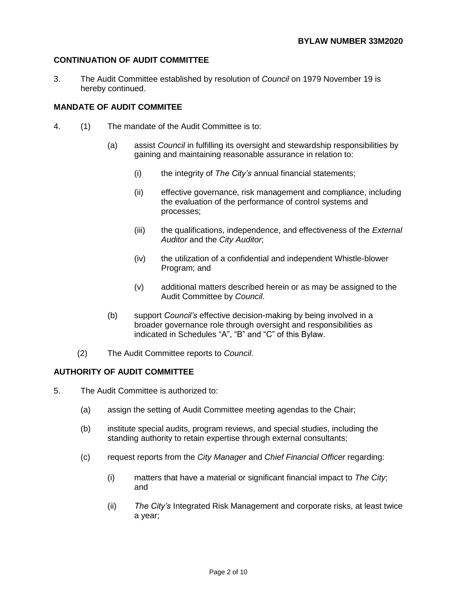# **CONTINUATION OF AUDIT COMMITTEE**

3. The Audit Committee established by resolution of *Council* on 1979 November 19 is hereby continued.

# **MANDATE OF AUDIT COMMITEE**

- 4. (1) The mandate of the Audit Committee is to:
	- (a) assist *Council* in fulfilling its oversight and stewardship responsibilities by gaining and maintaining reasonable assurance in relation to:
		- (i) the integrity of *The City's* annual financial statements;
		- (ii) effective governance, risk management and compliance, including the evaluation of the performance of control systems and processes;
		- (iii) the qualifications, independence, and effectiveness of the *External Auditor* and the *City Auditor*;
		- (iv) the utilization of a confidential and independent Whistle-blower Program; and
		- (v) additional matters described herein or as may be assigned to the Audit Committee by *Council*.
	- (b) support *Council's* effective decision-making by being involved in a broader governance role through oversight and responsibilities as indicated in Schedules "A", "B" and "C" of this Bylaw.
	- (2) The Audit Committee reports to *Council*.

# **AUTHORITY OF AUDIT COMMITTEE**

- 5. The Audit Committee is authorized to:
	- (a) assign the setting of Audit Committee meeting agendas to the Chair;
	- (b) institute special audits, program reviews, and special studies, including the standing authority to retain expertise through external consultants;
	- (c) request reports from the *City Manager* and *Chief Financial Officer* regarding:
		- (i) matters that have a material or significant financial impact to *The City*; and
		- (ii) *The City's* Integrated Risk Management and corporate risks, at least twice a year;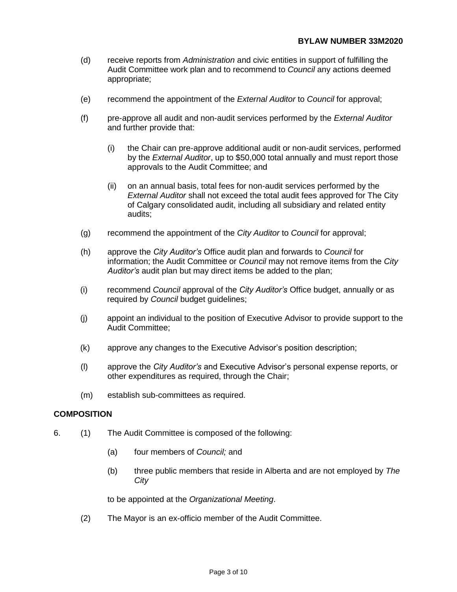- (d) receive reports from *Administration* and civic entities in support of fulfilling the Audit Committee work plan and to recommend to *Council* any actions deemed appropriate;
- (e) recommend the appointment of the *External Auditor* to *Council* for approval;
- (f) pre-approve all audit and non-audit services performed by the *External Auditor* and further provide that:
	- (i) the Chair can pre-approve additional audit or non-audit services, performed by the *External Auditor*, up to \$50,000 total annually and must report those approvals to the Audit Committee; and
	- (ii) on an annual basis, total fees for non-audit services performed by the *External Auditor* shall not exceed the total audit fees approved for The City of Calgary consolidated audit, including all subsidiary and related entity audits;
- (g) recommend the appointment of the *City Auditor* to *Council* for approval;
- (h) approve the *City Auditor's* Office audit plan and forwards to *Council* for information; the Audit Committee or *Council* may not remove items from the *City Auditor's* audit plan but may direct items be added to the plan;
- (i) recommend *Council* approval of the *City Auditor's* Office budget, annually or as required by *Council* budget guidelines;
- (j) appoint an individual to the position of Executive Advisor to provide support to the Audit Committee;
- (k) approve any changes to the Executive Advisor's position description;
- (l) approve the *City Auditor's* and Executive Advisor's personal expense reports, or other expenditures as required, through the Chair;
- (m) establish sub-committees as required.

#### **COMPOSITION**

- 6. (1) The Audit Committee is composed of the following:
	- (a) four members of *Council;* and
	- (b) three public members that reside in Alberta and are not employed by *The City*

to be appointed at the *Organizational Meeting*.

(2) The Mayor is an ex-officio member of the Audit Committee.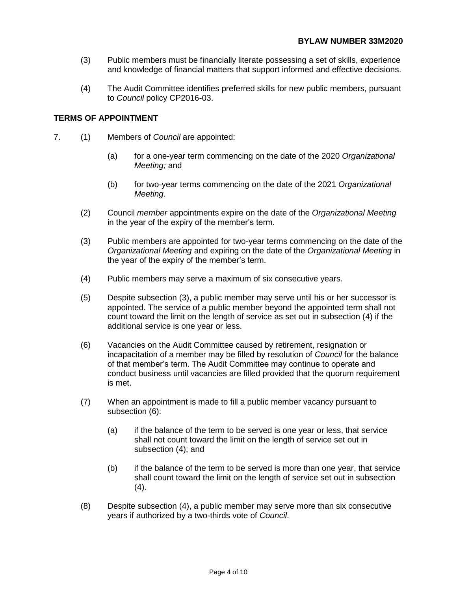- (3) Public members must be financially literate possessing a set of skills, experience and knowledge of financial matters that support informed and effective decisions.
- (4) The Audit Committee identifies preferred skills for new public members, pursuant to *Council* policy CP2016-03.

### **TERMS OF APPOINTMENT**

- 7. (1) Members of *Council* are appointed:
	- (a) for a one-year term commencing on the date of the 2020 *Organizational Meeting;* and
	- (b) for two-year terms commencing on the date of the 2021 *Organizational Meeting*.
	- (2) Council *member* appointments expire on the date of the *Organizational Meeting* in the year of the expiry of the member's term.
	- (3) Public members are appointed for two-year terms commencing on the date of the *Organizational Meeting* and expiring on the date of the *Organizational Meeting* in the year of the expiry of the member's term.
	- (4) Public members may serve a maximum of six consecutive years.
	- (5) Despite subsection (3), a public member may serve until his or her successor is appointed. The service of a public member beyond the appointed term shall not count toward the limit on the length of service as set out in subsection (4) if the additional service is one year or less.
	- (6) Vacancies on the Audit Committee caused by retirement, resignation or incapacitation of a member may be filled by resolution of *Council* for the balance of that member's term. The Audit Committee may continue to operate and conduct business until vacancies are filled provided that the quorum requirement is met.
	- (7) When an appointment is made to fill a public member vacancy pursuant to subsection (6):
		- (a) if the balance of the term to be served is one year or less, that service shall not count toward the limit on the length of service set out in subsection (4); and
		- (b) if the balance of the term to be served is more than one year, that service shall count toward the limit on the length of service set out in subsection  $(4).$
	- (8) Despite subsection (4), a public member may serve more than six consecutive years if authorized by a two-thirds vote of *Council*.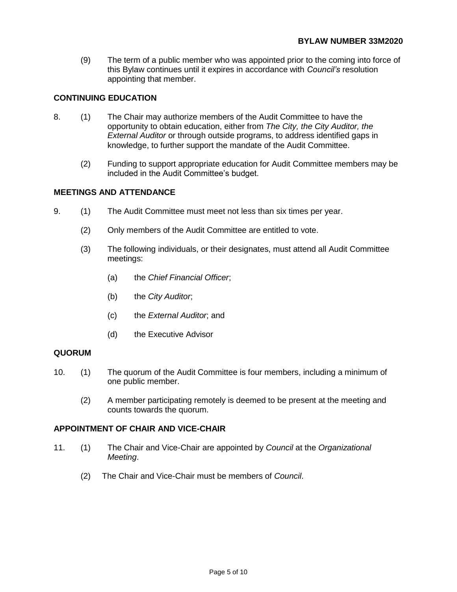(9) The term of a public member who was appointed prior to the coming into force of this Bylaw continues until it expires in accordance with *Council's* resolution appointing that member.

# **CONTINUING EDUCATION**

- 8. (1) The Chair may authorize members of the Audit Committee to have the opportunity to obtain education, either from *The City, the City Auditor, the External Auditor* or through outside programs, to address identified gaps in knowledge, to further support the mandate of the Audit Committee.
	- (2) Funding to support appropriate education for Audit Committee members may be included in the Audit Committee's budget.

#### **MEETINGS AND ATTENDANCE**

- 9. (1) The Audit Committee must meet not less than six times per year.
	- (2) Only members of the Audit Committee are entitled to vote.
	- (3) The following individuals, or their designates, must attend all Audit Committee meetings:
		- (a) the *Chief Financial Officer*;
		- (b) the *City Auditor*;
		- (c) the *External Auditor*; and
		- (d) the Executive Advisor

#### **QUORUM**

- 10. (1) The quorum of the Audit Committee is four members, including a minimum of one public member.
	- (2) A member participating remotely is deemed to be present at the meeting and counts towards the quorum.

## **APPOINTMENT OF CHAIR AND VICE-CHAIR**

- 11. (1) The Chair and Vice-Chair are appointed by *Council* at the *Organizational Meeting*.
	- (2) The Chair and Vice-Chair must be members of *Council*.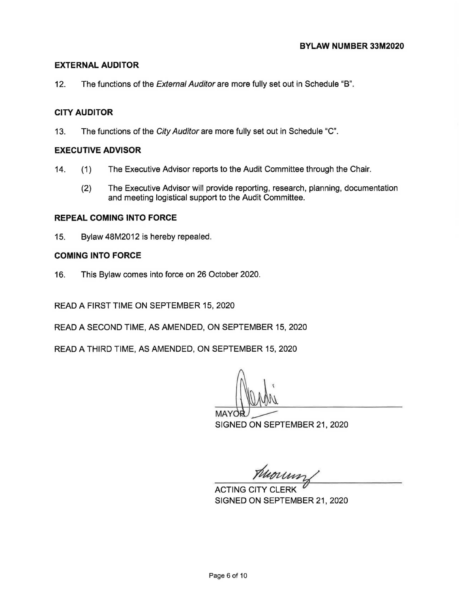# **EXTERNAL AUDITOR**

12. The functions of the *External Auditor* are more fully set out in Schedule "B".

# **CITY AUDITOR**

13. The functions of the City Auditor are more fully set out in Schedule "C".

# **EXECUTIVE ADVISOR**

- 14. (1) The Executive Advisor reports to the Audit Committee through the Chair.
	- (2) The Executive Advisor will provide reporting, research, planning, documentation and meeting logistical support to the Audit Committee.

## **REPEAL COMING INTO FORCE**

15. Bylaw 48M2012 is hereby repealed.

## **COMING INTO FORCE**

16. This Bylaw comes into force on 26 October 2020.

READ A FIRST TIME ON SEPTEMBER 15, 2020

READ A SECOND TIME, AS AMENDED, ON SEPTEMBER 15, 2020

READ A THIRD TIME, AS AMENDED, ON SEPTEMBER 15, 2020

MAYOR/ CONSEPTEMBER 21, 2020

THEOLOGY

SIGNED ON SEPTEMBER 21, 2020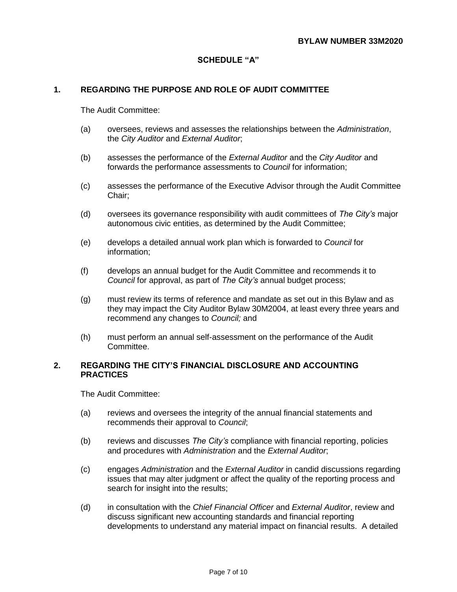# **SCHEDULE "A"**

#### **1. REGARDING THE PURPOSE AND ROLE OF AUDIT COMMITTEE**

The Audit Committee:

- (a) oversees, reviews and assesses the relationships between the *Administration*, the *City Auditor* and *External Auditor*;
- (b) assesses the performance of the *External Auditor* and the *City Auditor* and forwards the performance assessments to *Council* for information;
- (c) assesses the performance of the Executive Advisor through the Audit Committee Chair;
- (d) oversees its governance responsibility with audit committees of *The City's* major autonomous civic entities, as determined by the Audit Committee;
- (e) develops a detailed annual work plan which is forwarded to *Council* for information;
- (f) develops an annual budget for the Audit Committee and recommends it to *Council* for approval, as part of *The City's* annual budget process;
- (g) must review its terms of reference and mandate as set out in this Bylaw and as they may impact the City Auditor Bylaw 30M2004, at least every three years and recommend any changes to *Council;* and
- (h) must perform an annual self-assessment on the performance of the Audit Committee.

#### **2. REGARDING THE CITY'S FINANCIAL DISCLOSURE AND ACCOUNTING PRACTICES**

- (a) reviews and oversees the integrity of the annual financial statements and recommends their approval to *Council*;
- (b) reviews and discusses *The City's* compliance with financial reporting, policies and procedures with *Administration* and the *External Auditor*;
- (c) engages *Administration* and the *External Auditor* in candid discussions regarding issues that may alter judgment or affect the quality of the reporting process and search for insight into the results;
- (d) in consultation with the *Chief Financial Officer* and *External Auditor*, review and discuss significant new accounting standards and financial reporting developments to understand any material impact on financial results. A detailed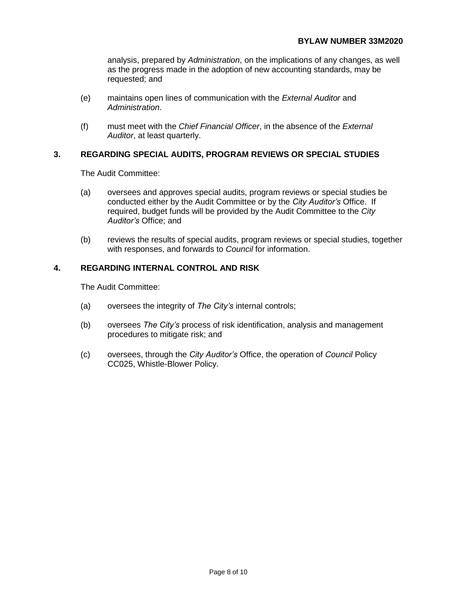analysis, prepared by *Administration*, on the implications of any changes, as well as the progress made in the adoption of new accounting standards, may be requested; and

- (e) maintains open lines of communication with the *External Auditor* and *Administration*.
- (f) must meet with the *Chief Financial Officer*, in the absence of the *External Auditor*, at least quarterly.

#### **3. REGARDING SPECIAL AUDITS, PROGRAM REVIEWS OR SPECIAL STUDIES**

The Audit Committee:

- (a) oversees and approves special audits, program reviews or special studies be conducted either by the Audit Committee or by the *City Auditor's* Office. If required, budget funds will be provided by the Audit Committee to the *City Auditor's* Office; and
- (b) reviews the results of special audits, program reviews or special studies, together with responses, and forwards to *Council* for information.

### **4. REGARDING INTERNAL CONTROL AND RISK**

- (a) oversees the integrity of *The City's* internal controls;
- (b) oversees *The City's* process of risk identification, analysis and management procedures to mitigate risk; and
- (c) oversees, through the *City Auditor's* Office, the operation of *Council* Policy CC025, Whistle-Blower Policy.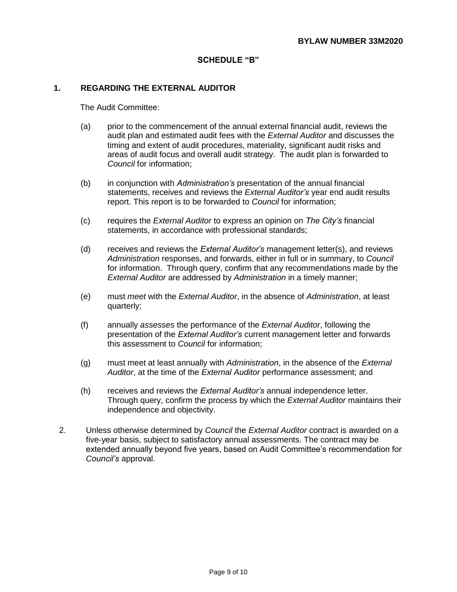### **SCHEDULE "B"**

## **1. REGARDING THE EXTERNAL AUDITOR**

- (a) prior to the commencement of the annual external financial audit, reviews the audit plan and estimated audit fees with the *External Auditor* and discusses the timing and extent of audit procedures, materiality, significant audit risks and areas of audit focus and overall audit strategy. The audit plan is forwarded to *Council* for information;
- (b) in conjunction with *Administration's* presentation of the annual financial statements, receives and reviews the *External Auditor's* year end audit results report. This report is to be forwarded to *Council* for information;
- (c) requires the *External Auditor* to express an opinion on *The City's* financial statements, in accordance with professional standards;
- (d) receives and reviews the *External Auditor's* management letter(s), and reviews *Administration* responses, and forwards, either in full or in summary, to *Council* for information. Through query, confirm that any recommendations made by the *External Auditor* are addressed by *Administration* in a timely manner;
- (e) must *meet* with the *External Auditor*, in the absence of *Administration*, at least quarterly;
- (f) annually *assesses* the performance of the *External Auditor*, following the presentation of the *External Auditor's* current management letter and forwards this assessment to *Council* for information;
- (g) must meet at least annually with *Administration*, in the absence of the *External Auditor*, at the time of the *External Auditor* performance assessment; and
- (h) receives and reviews the *External Auditor's* annual independence letter. Through query, confirm the process by which the *External Auditor* maintains their independence and objectivity.
- 2. Unless otherwise determined by *Council* the *External Auditor* contract is awarded on a five-year basis, subject to satisfactory annual assessments. The contract may be extended annually beyond five years, based on Audit Committee's recommendation for *Council's* approval.